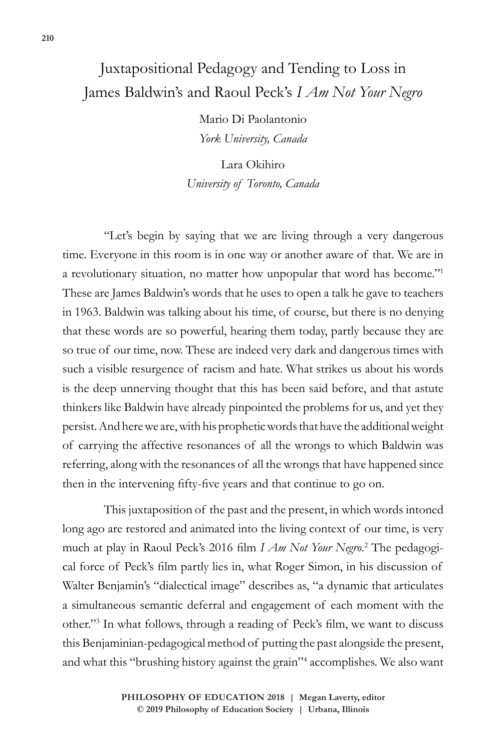## Juxtapositional Pedagogy and Tending to Loss in James Baldwin's and Raoul Peck's *I Am Not Your Negro*

Mario Di Paolantonio *York University, Canada*

Lara Okihiro *University of Toronto, Canada*

"Let's begin by saying that we are living through a very dangerous time. Everyone in this room is in one way or another aware of that. We are in a revolutionary situation, no matter how unpopular that word has become."1 These are James Baldwin's words that he uses to open a talk he gave to teachers in 1963. Baldwin was talking about his time, of course, but there is no denying that these words are so powerful, hearing them today, partly because they are so true of our time, now. These are indeed very dark and dangerous times with such a visible resurgence of racism and hate. What strikes us about his words is the deep unnerving thought that this has been said before, and that astute thinkers like Baldwin have already pinpointed the problems for us, and yet they persist. And here we are, with his prophetic words that have the additional weight of carrying the affective resonances of all the wrongs to which Baldwin was referring, along with the resonances of all the wrongs that have happened since then in the intervening fifty-five years and that continue to go on.

This juxtaposition of the past and the present, in which words intoned long ago are restored and animated into the living context of our time, is very much at play in Raoul Peck's 2016 film *I Am Not Your Negro*. 2 The pedagogical force of Peck's film partly lies in, what Roger Simon, in his discussion of Walter Benjamin's "dialectical image" describes as, "a dynamic that articulates a simultaneous semantic deferral and engagement of each moment with the other."3 In what follows, through a reading of Peck's film, we want to discuss this Benjaminian-pedagogical method of putting the past alongside the present, and what this "brushing history against the grain"4 accomplishes. We also want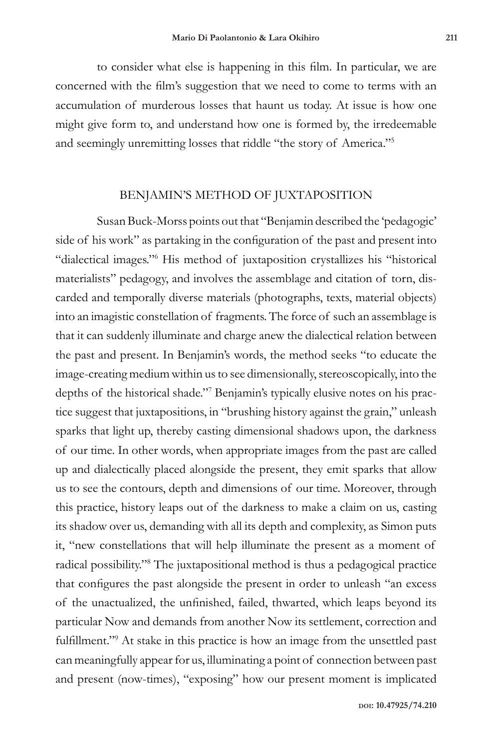to consider what else is happening in this film. In particular, we are concerned with the film's suggestion that we need to come to terms with an accumulation of murderous losses that haunt us today. At issue is how one might give form to, and understand how one is formed by, the irredeemable and seemingly unremitting losses that riddle "the story of America."5

## BENJAMIN'S METHOD OF JUXTAPOSITION

Susan Buck-Morss points out that "Benjamin described the 'pedagogic' side of his work" as partaking in the configuration of the past and present into "dialectical images."6 His method of juxtaposition crystallizes his "historical materialists" pedagogy, and involves the assemblage and citation of torn, discarded and temporally diverse materials (photographs, texts, material objects) into an imagistic constellation of fragments. The force of such an assemblage is that it can suddenly illuminate and charge anew the dialectical relation between the past and present. In Benjamin's words, the method seeks "to educate the image-creating medium within us to see dimensionally, stereoscopically, into the depths of the historical shade."7 Benjamin's typically elusive notes on his practice suggest that juxtapositions, in "brushing history against the grain," unleash sparks that light up, thereby casting dimensional shadows upon, the darkness of our time. In other words, when appropriate images from the past are called up and dialectically placed alongside the present, they emit sparks that allow us to see the contours, depth and dimensions of our time. Moreover, through this practice, history leaps out of the darkness to make a claim on us, casting its shadow over us, demanding with all its depth and complexity, as Simon puts it, "new constellations that will help illuminate the present as a moment of radical possibility."8 The juxtapositional method is thus a pedagogical practice that configures the past alongside the present in order to unleash "an excess of the unactualized, the unfinished, failed, thwarted, which leaps beyond its particular Now and demands from another Now its settlement, correction and fulfillment."<sup>9</sup> At stake in this practice is how an image from the unsettled past can meaningfully appear for us, illuminating a point of connection between past and present (now-times), "exposing" how our present moment is implicated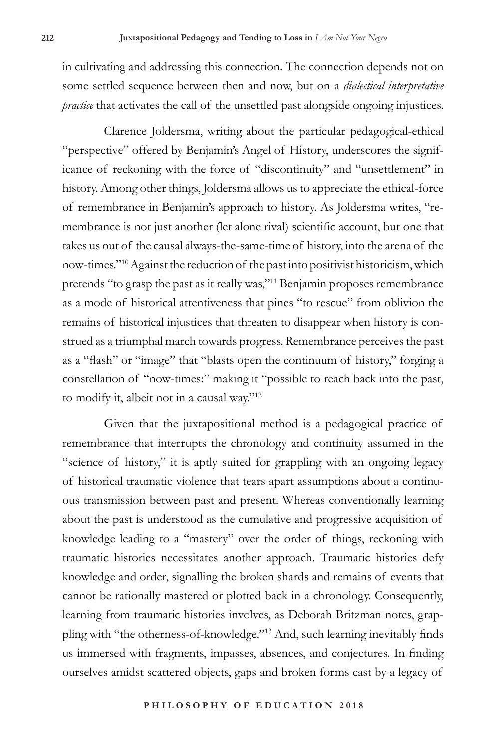in cultivating and addressing this connection. The connection depends not on some settled sequence between then and now, but on a *dialectical interpretative practice* that activates the call of the unsettled past alongside ongoing injustices.

Clarence Joldersma, writing about the particular pedagogical-ethical "perspective" offered by Benjamin's Angel of History, underscores the significance of reckoning with the force of "discontinuity" and "unsettlement" in history. Among other things, Joldersma allows us to appreciate the ethical-force of remembrance in Benjamin's approach to history. As Joldersma writes, "remembrance is not just another (let alone rival) scientific account, but one that takes us out of the causal always-the-same-time of history, into the arena of the now-times."10 Against the reduction of the past into positivist historicism, which pretends "to grasp the past as it really was,"11 Benjamin proposes remembrance as a mode of historical attentiveness that pines "to rescue" from oblivion the remains of historical injustices that threaten to disappear when history is construed as a triumphal march towards progress. Remembrance perceives the past as a "flash" or "image" that "blasts open the continuum of history," forging a constellation of "now-times:" making it "possible to reach back into the past, to modify it, albeit not in a causal way."12

Given that the juxtapositional method is a pedagogical practice of remembrance that interrupts the chronology and continuity assumed in the "science of history," it is aptly suited for grappling with an ongoing legacy of historical traumatic violence that tears apart assumptions about a continuous transmission between past and present. Whereas conventionally learning about the past is understood as the cumulative and progressive acquisition of knowledge leading to a "mastery" over the order of things, reckoning with traumatic histories necessitates another approach. Traumatic histories defy knowledge and order, signalling the broken shards and remains of events that cannot be rationally mastered or plotted back in a chronology. Consequently, learning from traumatic histories involves, as Deborah Britzman notes, grappling with "the otherness-of-knowledge."<sup>13</sup> And, such learning inevitably finds us immersed with fragments, impasses, absences, and conjectures. In finding ourselves amidst scattered objects, gaps and broken forms cast by a legacy of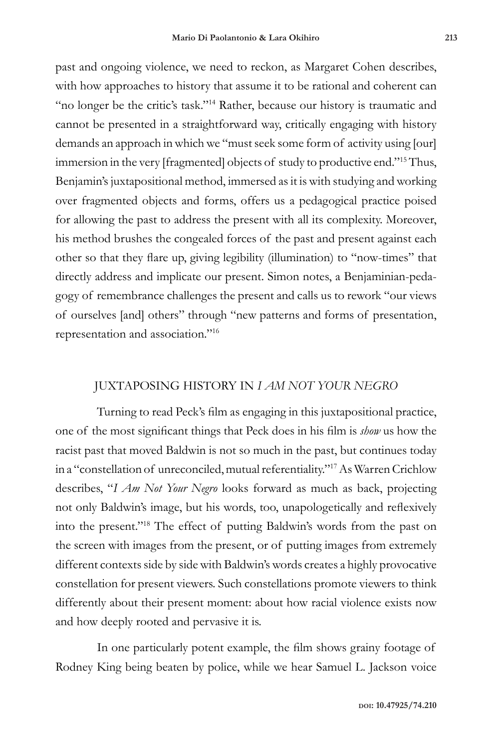past and ongoing violence, we need to reckon, as Margaret Cohen describes, with how approaches to history that assume it to be rational and coherent can "no longer be the critic's task."<sup>14</sup> Rather, because our history is traumatic and cannot be presented in a straightforward way, critically engaging with history demands an approach in which we "must seek some form of activity using [our] immersion in the very [fragmented] objects of study to productive end."15 Thus, Benjamin's juxtapositional method, immersed as it is with studying and working over fragmented objects and forms, offers us a pedagogical practice poised for allowing the past to address the present with all its complexity. Moreover, his method brushes the congealed forces of the past and present against each other so that they flare up, giving legibility (illumination) to "now-times" that directly address and implicate our present. Simon notes, a Benjaminian-pedagogy of remembrance challenges the present and calls us to rework "our views of ourselves [and] others" through "new patterns and forms of presentation, representation and association."16

## JUXTAPOSING HISTORY IN *I AM NOT YOUR NEGRO*

Turning to read Peck's film as engaging in this juxtapositional practice, one of the most significant things that Peck does in his film is *show* us how the racist past that moved Baldwin is not so much in the past, but continues today in a "constellation of unreconciled, mutual referentiality."17 As Warren Crichlow describes, "*I Am Not Your Negro* looks forward as much as back, projecting not only Baldwin's image, but his words, too, unapologetically and reflexively into the present."18 The effect of putting Baldwin's words from the past on the screen with images from the present, or of putting images from extremely different contexts side by side with Baldwin's words creates a highly provocative constellation for present viewers. Such constellations promote viewers to think differently about their present moment: about how racial violence exists now and how deeply rooted and pervasive it is.

In one particularly potent example, the film shows grainy footage of Rodney King being beaten by police, while we hear Samuel L. Jackson voice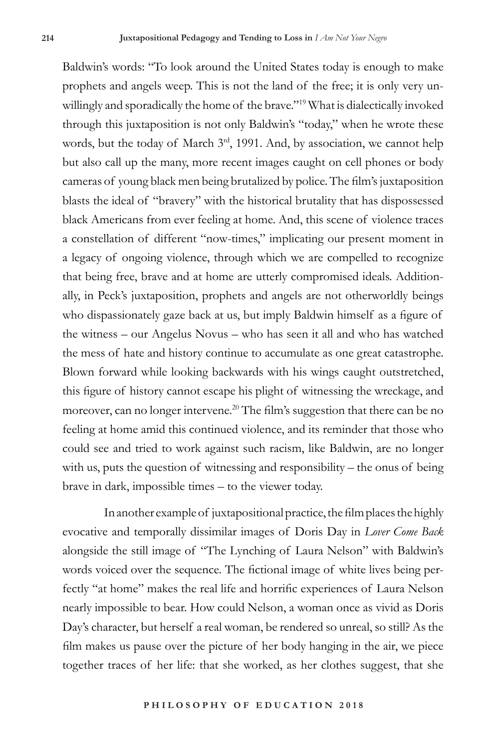Baldwin's words: "To look around the United States today is enough to make prophets and angels weep. This is not the land of the free; it is only very unwillingly and sporadically the home of the brave."19 What is dialectically invoked through this juxtaposition is not only Baldwin's "today," when he wrote these words, but the today of March 3<sup>rd</sup>, 1991. And, by association, we cannot help but also call up the many, more recent images caught on cell phones or body cameras of young black men being brutalized by police. The film's juxtaposition blasts the ideal of "bravery" with the historical brutality that has dispossessed black Americans from ever feeling at home. And, this scene of violence traces a constellation of different "now-times," implicating our present moment in a legacy of ongoing violence, through which we are compelled to recognize that being free, brave and at home are utterly compromised ideals. Additionally, in Peck's juxtaposition, prophets and angels are not otherworldly beings who dispassionately gaze back at us, but imply Baldwin himself as a figure of the witness – our Angelus Novus – who has seen it all and who has watched the mess of hate and history continue to accumulate as one great catastrophe. Blown forward while looking backwards with his wings caught outstretched, this figure of history cannot escape his plight of witnessing the wreckage, and moreover, can no longer intervene.<sup>20</sup> The film's suggestion that there can be no feeling at home amid this continued violence, and its reminder that those who could see and tried to work against such racism, like Baldwin, are no longer with us, puts the question of witnessing and responsibility – the onus of being brave in dark, impossible times – to the viewer today.

In another example of juxtapositional practice, the film places the highly evocative and temporally dissimilar images of Doris Day in *Lover Come Back* alongside the still image of "The Lynching of Laura Nelson" with Baldwin's words voiced over the sequence. The fictional image of white lives being perfectly "at home" makes the real life and horrific experiences of Laura Nelson nearly impossible to bear. How could Nelson, a woman once as vivid as Doris Day's character, but herself a real woman, be rendered so unreal, so still? As the film makes us pause over the picture of her body hanging in the air, we piece together traces of her life: that she worked, as her clothes suggest, that she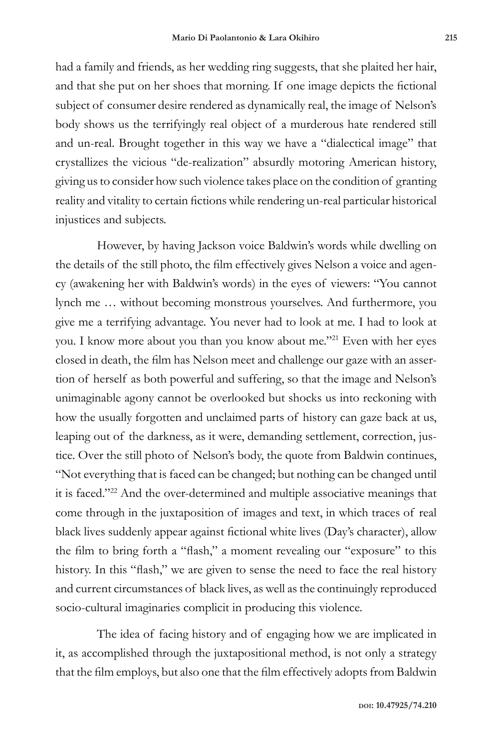had a family and friends, as her wedding ring suggests, that she plaited her hair, and that she put on her shoes that morning. If one image depicts the fictional subject of consumer desire rendered as dynamically real, the image of Nelson's body shows us the terrifyingly real object of a murderous hate rendered still and un-real. Brought together in this way we have a "dialectical image" that crystallizes the vicious "de-realization" absurdly motoring American history, giving us to consider how such violence takes place on the condition of granting reality and vitality to certain fictions while rendering un-real particular historical injustices and subjects.

However, by having Jackson voice Baldwin's words while dwelling on the details of the still photo, the film effectively gives Nelson a voice and agency (awakening her with Baldwin's words) in the eyes of viewers: "You cannot lynch me … without becoming monstrous yourselves. And furthermore, you give me a terrifying advantage. You never had to look at me. I had to look at you. I know more about you than you know about me."<sup>21</sup> Even with her eyes closed in death, the film has Nelson meet and challenge our gaze with an assertion of herself as both powerful and suffering, so that the image and Nelson's unimaginable agony cannot be overlooked but shocks us into reckoning with how the usually forgotten and unclaimed parts of history can gaze back at us, leaping out of the darkness, as it were, demanding settlement, correction, justice. Over the still photo of Nelson's body, the quote from Baldwin continues, "Not everything that is faced can be changed; but nothing can be changed until it is faced."22 And the over-determined and multiple associative meanings that come through in the juxtaposition of images and text, in which traces of real black lives suddenly appear against fictional white lives (Day's character), allow the film to bring forth a "flash," a moment revealing our "exposure" to this history. In this "flash," we are given to sense the need to face the real history and current circumstances of black lives, as well as the continuingly reproduced socio-cultural imaginaries complicit in producing this violence.

The idea of facing history and of engaging how we are implicated in it, as accomplished through the juxtapositional method, is not only a strategy that the film employs, but also one that the film effectively adopts from Baldwin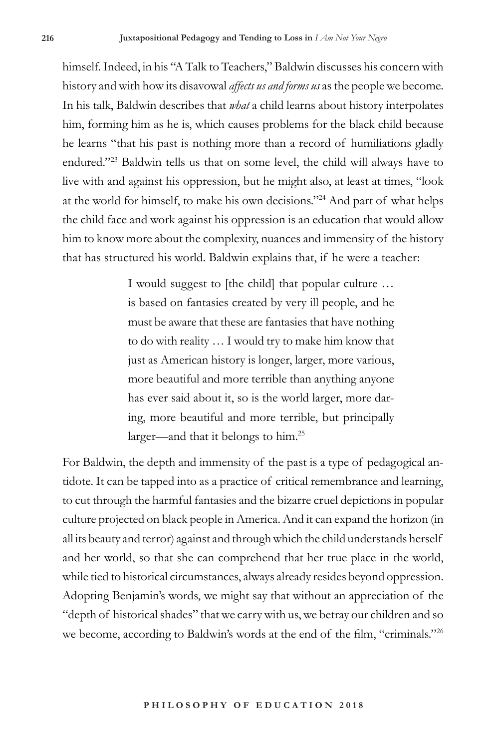himself. Indeed, in his "A Talk to Teachers," Baldwin discusses his concern with history and with how its disavowal *affects us and forms us* as the people we become. In his talk, Baldwin describes that *what* a child learns about history interpolates him, forming him as he is, which causes problems for the black child because he learns "that his past is nothing more than a record of humiliations gladly endured."23 Baldwin tells us that on some level, the child will always have to live with and against his oppression, but he might also, at least at times, "look at the world for himself, to make his own decisions."24 And part of what helps the child face and work against his oppression is an education that would allow him to know more about the complexity, nuances and immensity of the history that has structured his world. Baldwin explains that, if he were a teacher:

> I would suggest to [the child] that popular culture … is based on fantasies created by very ill people, and he must be aware that these are fantasies that have nothing to do with reality … I would try to make him know that just as American history is longer, larger, more various, more beautiful and more terrible than anything anyone has ever said about it, so is the world larger, more daring, more beautiful and more terrible, but principally larger—and that it belongs to him.25

For Baldwin, the depth and immensity of the past is a type of pedagogical antidote. It can be tapped into as a practice of critical remembrance and learning, to cut through the harmful fantasies and the bizarre cruel depictions in popular culture projected on black people in America. And it can expand the horizon (in all its beauty and terror) against and through which the child understands herself and her world, so that she can comprehend that her true place in the world, while tied to historical circumstances, always already resides beyond oppression. Adopting Benjamin's words, we might say that without an appreciation of the "depth of historical shades" that we carry with us, we betray our children and so we become, according to Baldwin's words at the end of the film, "criminals."26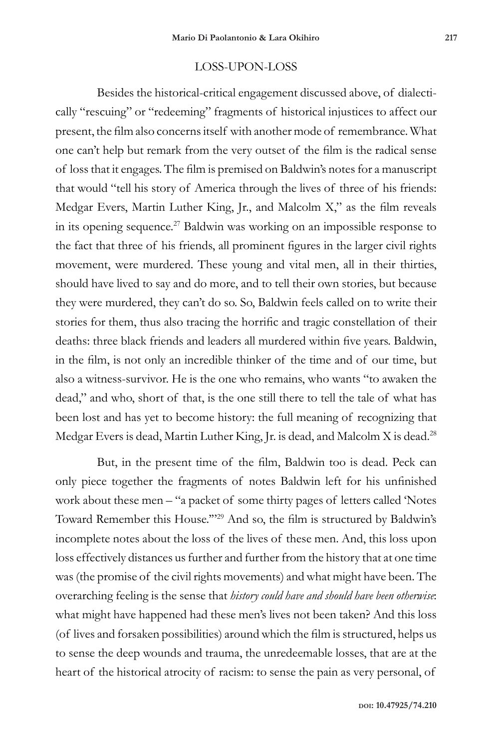## LOSS-UPON-LOSS

Besides the historical-critical engagement discussed above, of dialectically "rescuing" or "redeeming" fragments of historical injustices to affect our present, the film also concerns itself with another mode of remembrance. What one can't help but remark from the very outset of the film is the radical sense of loss that it engages. The film is premised on Baldwin's notes for a manuscript that would "tell his story of America through the lives of three of his friends: Medgar Evers, Martin Luther King, Jr., and Malcolm X," as the film reveals in its opening sequence.<sup>27</sup> Baldwin was working on an impossible response to the fact that three of his friends, all prominent figures in the larger civil rights movement, were murdered. These young and vital men, all in their thirties, should have lived to say and do more, and to tell their own stories, but because they were murdered, they can't do so. So, Baldwin feels called on to write their stories for them, thus also tracing the horrific and tragic constellation of their deaths: three black friends and leaders all murdered within five years. Baldwin, in the film, is not only an incredible thinker of the time and of our time, but also a witness-survivor. He is the one who remains, who wants "to awaken the dead," and who, short of that, is the one still there to tell the tale of what has been lost and has yet to become history: the full meaning of recognizing that Medgar Evers is dead, Martin Luther King, Jr. is dead, and Malcolm X is dead.<sup>28</sup>

But, in the present time of the film, Baldwin too is dead. Peck can only piece together the fragments of notes Baldwin left for his unfinished work about these men – "a packet of some thirty pages of letters called 'Notes Toward Remember this House.'"<sup>29</sup> And so, the film is structured by Baldwin's incomplete notes about the loss of the lives of these men. And, this loss upon loss effectively distances us further and further from the history that at one time was (the promise of the civil rights movements) and what might have been. The overarching feeling is the sense that *history could have and should have been otherwise*: what might have happened had these men's lives not been taken? And this loss (of lives and forsaken possibilities) around which the film is structured, helps us to sense the deep wounds and trauma, the unredeemable losses, that are at the heart of the historical atrocity of racism: to sense the pain as very personal, of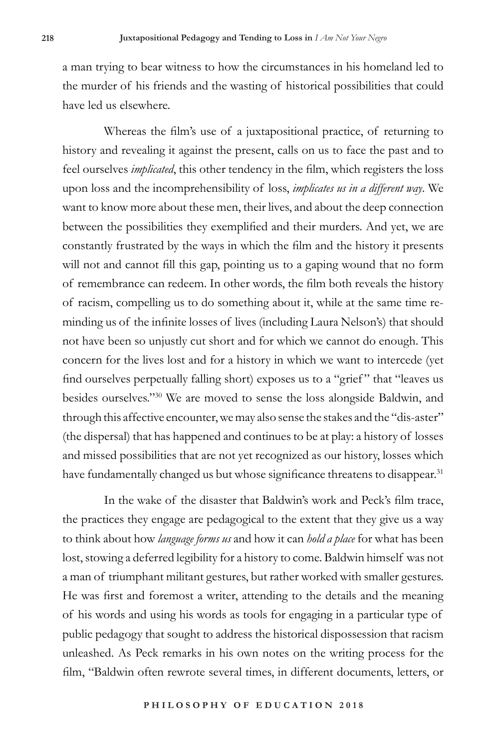a man trying to bear witness to how the circumstances in his homeland led to the murder of his friends and the wasting of historical possibilities that could have led us elsewhere.

Whereas the film's use of a juxtapositional practice, of returning to history and revealing it against the present, calls on us to face the past and to feel ourselves *implicated*, this other tendency in the film, which registers the loss upon loss and the incomprehensibility of loss, *implicates us in a different way*. We want to know more about these men, their lives, and about the deep connection between the possibilities they exemplified and their murders. And yet, we are constantly frustrated by the ways in which the film and the history it presents will not and cannot fill this gap, pointing us to a gaping wound that no form of remembrance can redeem. In other words, the film both reveals the history of racism, compelling us to do something about it, while at the same time reminding us of the infinite losses of lives (including Laura Nelson's) that should not have been so unjustly cut short and for which we cannot do enough. This concern for the lives lost and for a history in which we want to intercede (yet find ourselves perpetually falling short) exposes us to a "grief " that "leaves us besides ourselves."30 We are moved to sense the loss alongside Baldwin, and through this affective encounter, we may also sense the stakes and the "dis-aster" (the dispersal) that has happened and continues to be at play: a history of losses and missed possibilities that are not yet recognized as our history, losses which have fundamentally changed us but whose significance threatens to disappear.<sup>31</sup>

In the wake of the disaster that Baldwin's work and Peck's film trace, the practices they engage are pedagogical to the extent that they give us a way to think about how *language forms us* and how it can *hold a place* for what has been lost, stowing a deferred legibility for a history to come. Baldwin himself was not a man of triumphant militant gestures, but rather worked with smaller gestures. He was first and foremost a writer, attending to the details and the meaning of his words and using his words as tools for engaging in a particular type of public pedagogy that sought to address the historical dispossession that racism unleashed. As Peck remarks in his own notes on the writing process for the film, "Baldwin often rewrote several times, in different documents, letters, or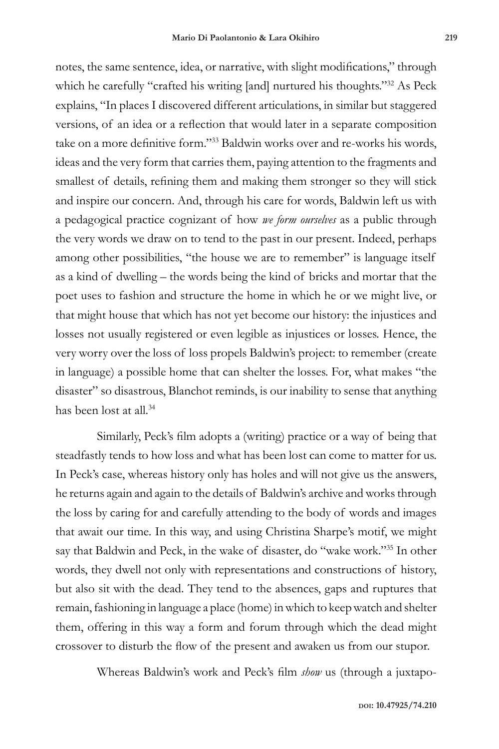notes, the same sentence, idea, or narrative, with slight modifications," through which he carefully "crafted his writing [and] nurtured his thoughts."32 As Peck explains, "In places I discovered different articulations, in similar but staggered versions, of an idea or a reflection that would later in a separate composition take on a more definitive form."<sup>33</sup> Baldwin works over and re-works his words, ideas and the very form that carries them, paying attention to the fragments and smallest of details, refining them and making them stronger so they will stick and inspire our concern. And, through his care for words, Baldwin left us with a pedagogical practice cognizant of how *we form ourselves* as a public through the very words we draw on to tend to the past in our present. Indeed, perhaps among other possibilities, "the house we are to remember" is language itself as a kind of dwelling – the words being the kind of bricks and mortar that the poet uses to fashion and structure the home in which he or we might live, or that might house that which has not yet become our history: the injustices and losses not usually registered or even legible as injustices or losses. Hence, the very worry over the loss of loss propels Baldwin's project: to remember (create in language) a possible home that can shelter the losses. For, what makes "the disaster" so disastrous, Blanchot reminds, is our inability to sense that anything has been lost at all.<sup>34</sup>

Similarly, Peck's film adopts a (writing) practice or a way of being that steadfastly tends to how loss and what has been lost can come to matter for us. In Peck's case, whereas history only has holes and will not give us the answers, he returns again and again to the details of Baldwin's archive and works through the loss by caring for and carefully attending to the body of words and images that await our time. In this way, and using Christina Sharpe's motif, we might say that Baldwin and Peck, in the wake of disaster, do "wake work."35 In other words, they dwell not only with representations and constructions of history, but also sit with the dead. They tend to the absences, gaps and ruptures that remain, fashioning in language a place (home) in which to keep watch and shelter them, offering in this way a form and forum through which the dead might crossover to disturb the flow of the present and awaken us from our stupor.

Whereas Baldwin's work and Peck's film *show* us (through a juxtapo-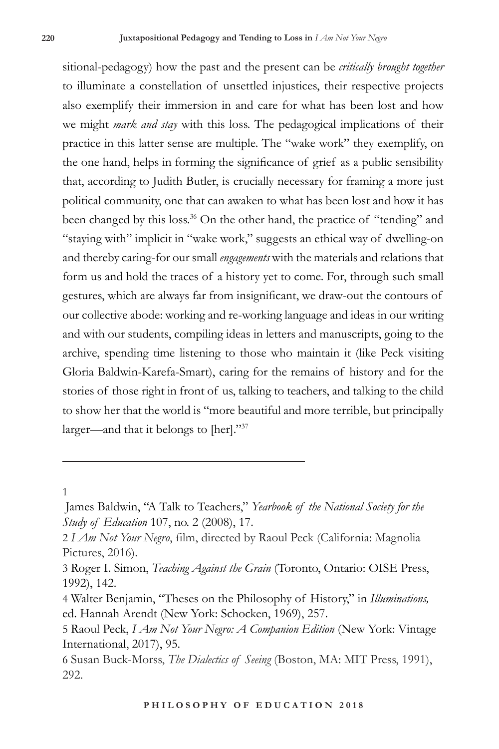sitional-pedagogy) how the past and the present can be *critically brought together* to illuminate a constellation of unsettled injustices, their respective projects also exemplify their immersion in and care for what has been lost and how we might *mark and stay* with this loss. The pedagogical implications of their practice in this latter sense are multiple. The "wake work" they exemplify, on the one hand, helps in forming the significance of grief as a public sensibility that, according to Judith Butler, is crucially necessary for framing a more just political community, one that can awaken to what has been lost and how it has been changed by this loss.<sup>36</sup> On the other hand, the practice of "tending" and "staying with" implicit in "wake work," suggests an ethical way of dwelling-on and thereby caring-for our small *engagements* with the materials and relations that form us and hold the traces of a history yet to come. For, through such small gestures, which are always far from insignificant, we draw-out the contours of our collective abode: working and re-working language and ideas in our writing and with our students, compiling ideas in letters and manuscripts, going to the archive, spending time listening to those who maintain it (like Peck visiting Gloria Baldwin-Karefa-Smart), caring for the remains of history and for the stories of those right in front of us, talking to teachers, and talking to the child to show her that the world is "more beautiful and more terrible, but principally larger—and that it belongs to [her]."37

1

James Baldwin, "A Talk to Teachers," *Yearbook of the National Society for the Study of Education* 107, no. 2 (2008), 17.

<sup>2</sup> *I Am Not Your Negro*, film, directed by Raoul Peck (California: Magnolia Pictures, 2016).

<sup>3</sup> Roger I. Simon, *Teaching Against the Grain* (Toronto, Ontario: OISE Press, 1992), 142.

<sup>4</sup> Walter Benjamin, "Theses on the Philosophy of History," in *Illuminations,* ed. Hannah Arendt (New York: Schocken, 1969), 257.

<sup>5</sup> Raoul Peck, *I Am Not Your Negro: A Companion Edition* (New York: Vintage International, 2017), 95.

<sup>6</sup> Susan Buck-Morss, *The Dialectics of Seeing* (Boston, MA: MIT Press, 1991), 292.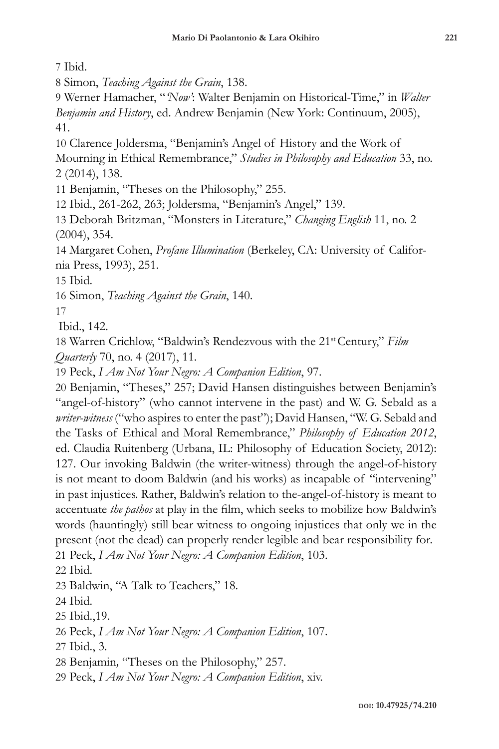7 Ibid.

8 Simon, *Teaching Against the Grain*, 138.

9 Werner Hamacher, "*'Now'*: Walter Benjamin on Historical-Time," in *Walter Benjamin and History*, ed. Andrew Benjamin (New York: Continuum, 2005), 41.

10 Clarence Joldersma, "Benjamin's Angel of History and the Work of

Mourning in Ethical Remembrance," *Studies in Philosophy and Education* 33, no. 2 (2014), 138.

11 Benjamin, "Theses on the Philosophy," 255.

12 Ibid., 261-262, 263; Joldersma, "Benjamin's Angel," 139.

13 Deborah Britzman, "Monsters in Literature," *Changing English* 11, no. 2 (2004), 354.

14 Margaret Cohen, *Profane Illumination* (Berkeley, CA: University of California Press, 1993), 251.

15 Ibid.

16 Simon, *Teaching Against the Grain*, 140.

17

Ibid., 142.

18 Warren Crichlow, "Baldwin's Rendezvous with the 21st Century," *Film Quarterly* 70, no. 4 (2017), 11.

19 Peck, *I Am Not Your Negro: A Companion Edition*, 97.

20 Benjamin, "Theses," 257; David Hansen distinguishes between Benjamin's "angel-of-history" (who cannot intervene in the past) and W. G. Sebald as a *writer-witness* ("who aspires to enter the past"); David Hansen, "W. G. Sebald and the Tasks of Ethical and Moral Remembrance," *Philosophy of Education 2012*, ed. Claudia Ruitenberg (Urbana, IL: Philosophy of Education Society, 2012): 127. Our invoking Baldwin (the writer-witness) through the angel-of-history is not meant to doom Baldwin (and his works) as incapable of "intervening" in past injustices. Rather, Baldwin's relation to the-angel-of-history is meant to accentuate *the pathos* at play in the film, which seeks to mobilize how Baldwin's words (hauntingly) still bear witness to ongoing injustices that only we in the present (not the dead) can properly render legible and bear responsibility for.

21 Peck, *I Am Not Your Negro: A Companion Edition*, 103.

22 Ibid.

23 Baldwin, "A Talk to Teachers," 18.

24 Ibid.

25 Ibid.,19.

26 Peck, *I Am Not Your Negro: A Companion Edition*, 107.

27 Ibid., 3.

28 Benjamin*,* "Theses on the Philosophy," 257.

29 Peck, *I Am Not Your Negro: A Companion Edition*, xiv.